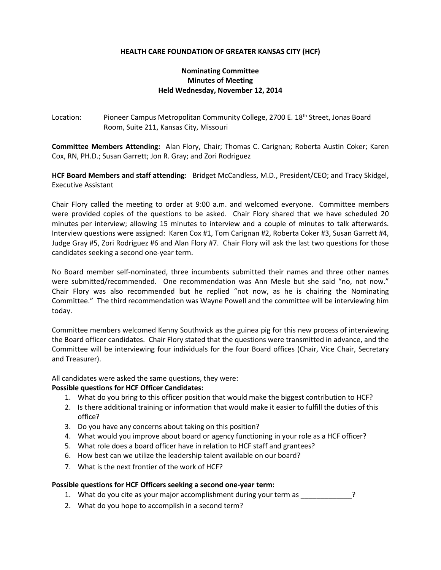# **HEALTH CARE FOUNDATION OF GREATER KANSAS CITY (HCF)**

# **Nominating Committee Minutes of Meeting Held Wednesday, November 12, 2014**

Location: Pioneer Campus Metropolitan Community College, 2700 E. 18<sup>th</sup> Street, Jonas Board Room, Suite 211, Kansas City, Missouri

**Committee Members Attending:** Alan Flory, Chair; Thomas C. Carignan; Roberta Austin Coker; Karen Cox, RN, PH.D.; Susan Garrett; Jon R. Gray; and Zori Rodriguez

**HCF Board Members and staff attending:** Bridget McCandless, M.D., President/CEO; and Tracy Skidgel, Executive Assistant

Chair Flory called the meeting to order at 9:00 a.m. and welcomed everyone. Committee members were provided copies of the questions to be asked. Chair Flory shared that we have scheduled 20 minutes per interview; allowing 15 minutes to interview and a couple of minutes to talk afterwards. Interview questions were assigned: Karen Cox #1, Tom Carignan #2, Roberta Coker #3, Susan Garrett #4, Judge Gray #5, Zori Rodriguez #6 and Alan Flory #7. Chair Flory will ask the last two questions for those candidates seeking a second one-year term.

No Board member self-nominated, three incumbents submitted their names and three other names were submitted/recommended. One recommendation was Ann Mesle but she said "no, not now." Chair Flory was also recommended but he replied "not now, as he is chairing the Nominating Committee." The third recommendation was Wayne Powell and the committee will be interviewing him today.

Committee members welcomed Kenny Southwick as the guinea pig for this new process of interviewing the Board officer candidates. Chair Flory stated that the questions were transmitted in advance, and the Committee will be interviewing four individuals for the four Board offices (Chair, Vice Chair, Secretary and Treasurer).

All candidates were asked the same questions, they were:

#### **Possible questions for HCF Officer Candidates:**

- 1. What do you bring to this officer position that would make the biggest contribution to HCF?
- 2. Is there additional training or information that would make it easier to fulfill the duties of this office?
- 3. Do you have any concerns about taking on this position?
- 4. What would you improve about board or agency functioning in your role as a HCF officer?
- 5. What role does a board officer have in relation to HCF staff and grantees?
- 6. How best can we utilize the leadership talent available on our board?
- 7. What is the next frontier of the work of HCF?

#### **Possible questions for HCF Officers seeking a second one-year term:**

- 1. What do you cite as your major accomplishment during your term as \_\_\_\_\_\_\_\_\_\_\_\_?
- 2. What do you hope to accomplish in a second term?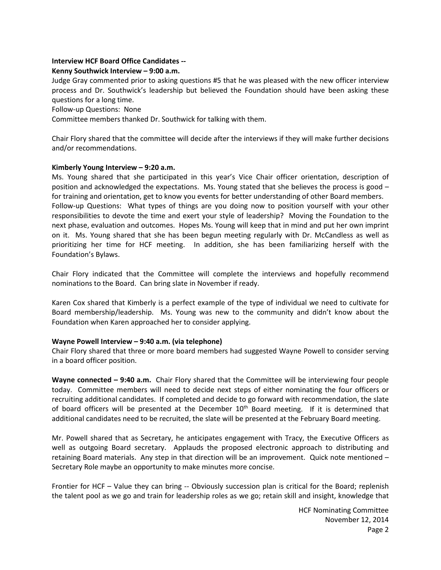## **Interview HCF Board Office Candidates --**

## **Kenny Southwick Interview – 9:00 a.m.**

Judge Gray commented prior to asking questions #5 that he was pleased with the new officer interview process and Dr. Southwick's leadership but believed the Foundation should have been asking these questions for a long time.

Follow-up Questions: None

Committee members thanked Dr. Southwick for talking with them.

Chair Flory shared that the committee will decide after the interviews if they will make further decisions and/or recommendations.

## **Kimberly Young Interview – 9:20 a.m.**

Ms. Young shared that she participated in this year's Vice Chair officer orientation, description of position and acknowledged the expectations. Ms. Young stated that she believes the process is good – for training and orientation, get to know you events for better understanding of other Board members. Follow-up Questions: What types of things are you doing now to position yourself with your other responsibilities to devote the time and exert your style of leadership? Moving the Foundation to the next phase, evaluation and outcomes. Hopes Ms. Young will keep that in mind and put her own imprint on it. Ms. Young shared that she has been begun meeting regularly with Dr. McCandless as well as prioritizing her time for HCF meeting. In addition, she has been familiarizing herself with the Foundation's Bylaws.

Chair Flory indicated that the Committee will complete the interviews and hopefully recommend nominations to the Board. Can bring slate in November if ready.

Karen Cox shared that Kimberly is a perfect example of the type of individual we need to cultivate for Board membership/leadership. Ms. Young was new to the community and didn't know about the Foundation when Karen approached her to consider applying.

#### **Wayne Powell Interview – 9:40 a.m. (via telephone)**

Chair Flory shared that three or more board members had suggested Wayne Powell to consider serving in a board officer position.

**Wayne connected – 9:40 a.m.** Chair Flory shared that the Committee will be interviewing four people today. Committee members will need to decide next steps of either nominating the four officers or recruiting additional candidates. If completed and decide to go forward with recommendation, the slate of board officers will be presented at the December  $10<sup>th</sup>$  Board meeting. If it is determined that additional candidates need to be recruited, the slate will be presented at the February Board meeting.

Mr. Powell shared that as Secretary, he anticipates engagement with Tracy, the Executive Officers as well as outgoing Board secretary. Applauds the proposed electronic approach to distributing and retaining Board materials. Any step in that direction will be an improvement. Quick note mentioned – Secretary Role maybe an opportunity to make minutes more concise.

Frontier for HCF – Value they can bring -- Obviously succession plan is critical for the Board; replenish the talent pool as we go and train for leadership roles as we go; retain skill and insight, knowledge that

> HCF Nominating Committee November 12, 2014 Page 2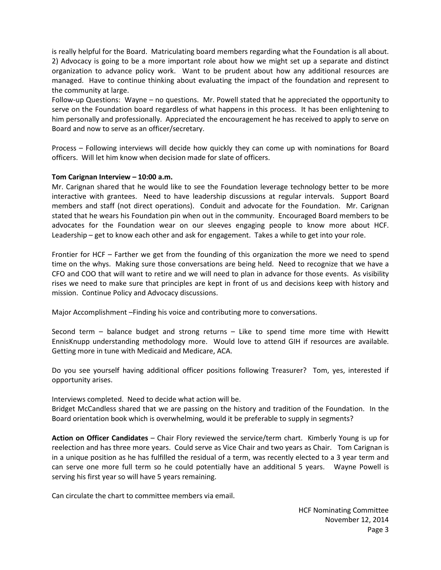is really helpful for the Board. Matriculating board members regarding what the Foundation is all about. 2) Advocacy is going to be a more important role about how we might set up a separate and distinct organization to advance policy work. Want to be prudent about how any additional resources are managed. Have to continue thinking about evaluating the impact of the foundation and represent to the community at large.

Follow-up Questions: Wayne – no questions. Mr. Powell stated that he appreciated the opportunity to serve on the Foundation board regardless of what happens in this process. It has been enlightening to him personally and professionally. Appreciated the encouragement he has received to apply to serve on Board and now to serve as an officer/secretary.

Process – Following interviews will decide how quickly they can come up with nominations for Board officers. Will let him know when decision made for slate of officers.

## **Tom Carignan Interview – 10:00 a.m.**

Mr. Carignan shared that he would like to see the Foundation leverage technology better to be more interactive with grantees. Need to have leadership discussions at regular intervals. Support Board members and staff (not direct operations). Conduit and advocate for the Foundation. Mr. Carignan stated that he wears his Foundation pin when out in the community. Encouraged Board members to be advocates for the Foundation wear on our sleeves engaging people to know more about HCF. Leadership – get to know each other and ask for engagement. Takes a while to get into your role.

Frontier for HCF – Farther we get from the founding of this organization the more we need to spend time on the whys. Making sure those conversations are being held. Need to recognize that we have a CFO and COO that will want to retire and we will need to plan in advance for those events. As visibility rises we need to make sure that principles are kept in front of us and decisions keep with history and mission. Continue Policy and Advocacy discussions.

Major Accomplishment –Finding his voice and contributing more to conversations.

Second term – balance budget and strong returns – Like to spend time more time with Hewitt EnnisKnupp understanding methodology more. Would love to attend GIH if resources are available. Getting more in tune with Medicaid and Medicare, ACA.

Do you see yourself having additional officer positions following Treasurer? Tom, yes, interested if opportunity arises.

Interviews completed. Need to decide what action will be.

Bridget McCandless shared that we are passing on the history and tradition of the Foundation. In the Board orientation book which is overwhelming, would it be preferable to supply in segments?

**Action on Officer Candidates** – Chair Flory reviewed the service/term chart. Kimberly Young is up for reelection and has three more years. Could serve as Vice Chair and two years as Chair. Tom Carignan is in a unique position as he has fulfilled the residual of a term, was recently elected to a 3 year term and can serve one more full term so he could potentially have an additional 5 years. Wayne Powell is serving his first year so will have 5 years remaining.

Can circulate the chart to committee members via email.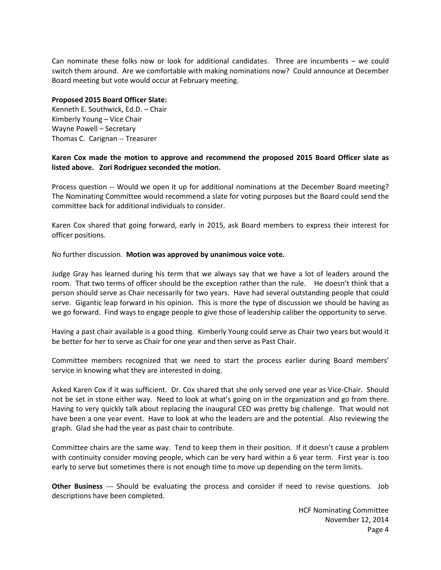Can nominate these folks now or look for additional candidates. Three are incumbents – we could switch them around. Are we comfortable with making nominations now? Could announce at December Board meeting but vote would occur at February meeting.

#### **Proposed 2015 Board Officer Slate:**

Kenneth E. Southwick, Ed.D. – Chair Kimberly Young – Vice Chair Wayne Powell – Secretary Thomas C. Carignan -- Treasurer

# **Karen Cox made the motion to approve and recommend the proposed 2015 Board Officer slate as listed above. Zori Rodriguez seconded the motion.**

Process question -- Would we open it up for additional nominations at the December Board meeting? The Nominating Committee would recommend a slate for voting purposes but the Board could send the committee back for additional individuals to consider.

Karen Cox shared that going forward, early in 2015, ask Board members to express their interest for officer positions.

No further discussion. **Motion was approved by unanimous voice vote.** 

Judge Gray has learned during his term that we always say that we have a lot of leaders around the room. That two terms of officer should be the exception rather than the rule. He doesn't think that a person should serve as Chair necessarily for two years. Have had several outstanding people that could serve. Gigantic leap forward in his opinion. This is more the type of discussion we should be having as we go forward. Find ways to engage people to give those of leadership caliber the opportunity to serve.

Having a past chair available is a good thing. Kimberly Young could serve as Chair two years but would it be better for her to serve as Chair for one year and then serve as Past Chair.

Committee members recognized that we need to start the process earlier during Board members' service in knowing what they are interested in doing.

Asked Karen Cox if it was sufficient. Dr. Cox shared that she only served one year as Vice-Chair. Should not be set in stone either way. Need to look at what's going on in the organization and go from there. Having to very quickly talk about replacing the inaugural CEO was pretty big challenge. That would not have been a one year event. Have to look at who the leaders are and the potential. Also reviewing the graph. Glad she had the year as past chair to contribute.

Committee chairs are the same way. Tend to keep them in their position. If it doesn't cause a problem with continuity consider moving people, which can be very hard within a 6 year term. First year is too early to serve but sometimes there is not enough time to move up depending on the term limits.

**Other Business** --- Should be evaluating the process and consider if need to revise questions. Job descriptions have been completed.

> HCF Nominating Committee November 12, 2014 Page 4